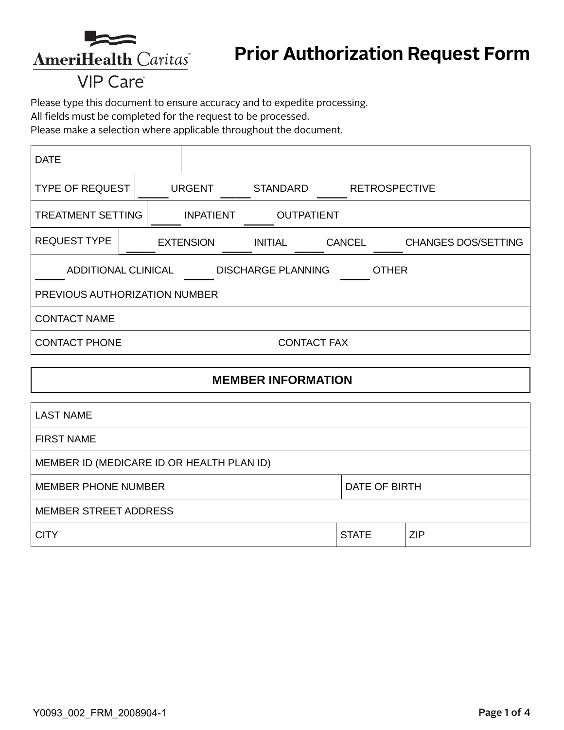

# **VIP Care**

Please type this document to ensure accuracy and to expedite processing.

All fields must be completed for the request to be processed.

Please make a selection where applicable throughout the document.

| <b>DATE</b>                                                             |                                    |                   |  |                    |  |                            |  |  |
|-------------------------------------------------------------------------|------------------------------------|-------------------|--|--------------------|--|----------------------------|--|--|
| <b>TYPE OF REQUEST</b>                                                  | <b>URGENT</b>                      |                   |  | <b>STANDARD</b>    |  | <b>RETROSPECTIVE</b>       |  |  |
| <b>TREATMENT SETTING</b><br><b>INPATIENT</b>                            |                                    | <b>OUTPATIENT</b> |  |                    |  |                            |  |  |
| <b>REQUEST TYPE</b>                                                     | <b>EXTENSION</b><br><b>INITIAL</b> |                   |  | <b>CANCEL</b>      |  | <b>CHANGES DOS/SETTING</b> |  |  |
| <b>ADDITIONAL CLINICAL</b><br><b>DISCHARGE PLANNING</b><br><b>OTHER</b> |                                    |                   |  |                    |  |                            |  |  |
| PREVIOUS AUTHORIZATION NUMBER                                           |                                    |                   |  |                    |  |                            |  |  |
| <b>CONTACT NAME</b>                                                     |                                    |                   |  |                    |  |                            |  |  |
| <b>CONTACT PHONE</b>                                                    |                                    |                   |  | <b>CONTACT FAX</b> |  |                            |  |  |

### **MEMBER INFORMATION**

| <b>LAST NAME</b>                          |               |            |  |
|-------------------------------------------|---------------|------------|--|
| <b>FIRST NAME</b>                         |               |            |  |
| MEMBER ID (MEDICARE ID OR HEALTH PLAN ID) |               |            |  |
| <b>MEMBER PHONE NUMBER</b>                | DATE OF BIRTH |            |  |
| <b>MEMBER STREET ADDRESS</b>              |               |            |  |
| <b>CITY</b>                               | <b>STATE</b>  | <b>ZIP</b> |  |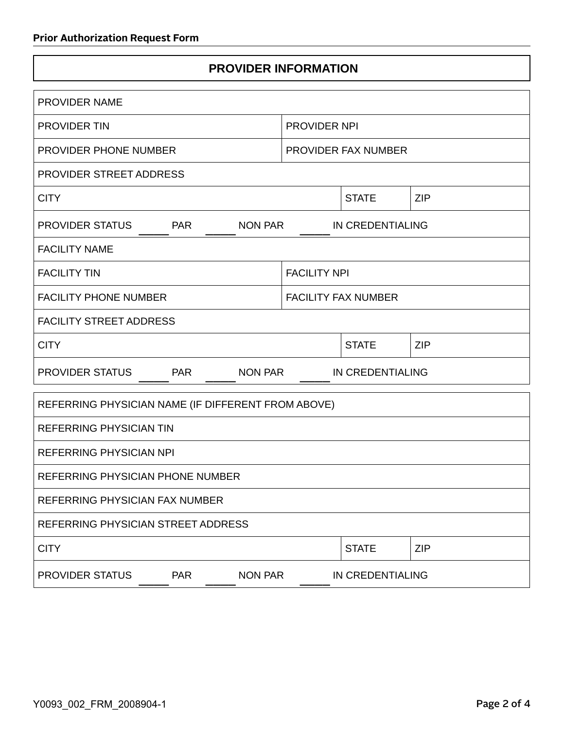## **PROVIDER INFORMATION**

| <b>PROVIDER NAME</b>                               |                            |                  |            |  |
|----------------------------------------------------|----------------------------|------------------|------------|--|
| PROVIDER TIN                                       | <b>PROVIDER NPI</b>        |                  |            |  |
| PROVIDER PHONE NUMBER                              | PROVIDER FAX NUMBER        |                  |            |  |
| <b>PROVIDER STREET ADDRESS</b>                     |                            |                  |            |  |
| <b>CITY</b>                                        |                            | <b>STATE</b>     | <b>ZIP</b> |  |
| PROVIDER STATUS<br><b>PAR</b><br>NON PAR           | IN CREDENTIALING           |                  |            |  |
| <b>FACILITY NAME</b>                               |                            |                  |            |  |
| <b>FACILITY TIN</b>                                | <b>FACILITY NPI</b>        |                  |            |  |
| <b>FACILITY PHONE NUMBER</b>                       | <b>FACILITY FAX NUMBER</b> |                  |            |  |
| <b>FACILITY STREET ADDRESS</b>                     |                            |                  |            |  |
| <b>CITY</b>                                        |                            | <b>STATE</b>     | <b>ZIP</b> |  |
| PROVIDER STATUS<br><b>PAR</b><br>NON PAR           |                            | IN CREDENTIALING |            |  |
| REFERRING PHYSICIAN NAME (IF DIFFERENT FROM ABOVE) |                            |                  |            |  |
| <b>REFERRING PHYSICIAN TIN</b>                     |                            |                  |            |  |
| <b>REFERRING PHYSICIAN NPI</b>                     |                            |                  |            |  |
| REFERRING PHYSICIAN PHONE NUMBER                   |                            |                  |            |  |
| REFERRING PHYSICIAN FAX NUMBER                     |                            |                  |            |  |
| REFERRING PHYSICIAN STREET ADDRESS                 |                            |                  |            |  |
| <b>CITY</b>                                        |                            | <b>STATE</b>     | <b>ZIP</b> |  |
| PROVIDER STATUS<br><b>PAR</b><br><b>NON PAR</b>    |                            | IN CREDENTIALING |            |  |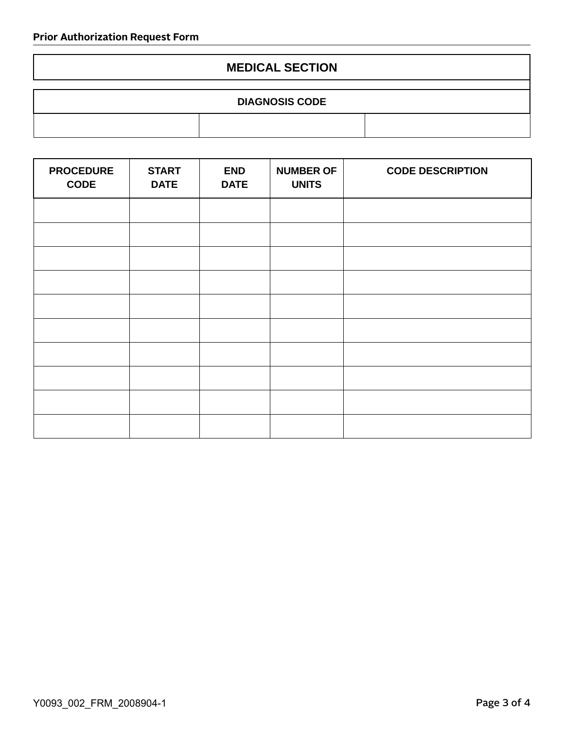#### **MEDICAL SECTION**

| <b>DIAGNOSIS CODE</b> |  |  |  |  |
|-----------------------|--|--|--|--|
|                       |  |  |  |  |

| <b>PROCEDURE</b><br><b>CODE</b> | <b>START</b><br><b>DATE</b> | <b>END</b><br><b>DATE</b> | <b>NUMBER OF</b><br><b>UNITS</b> | <b>CODE DESCRIPTION</b> |
|---------------------------------|-----------------------------|---------------------------|----------------------------------|-------------------------|
|                                 |                             |                           |                                  |                         |
|                                 |                             |                           |                                  |                         |
|                                 |                             |                           |                                  |                         |
|                                 |                             |                           |                                  |                         |
|                                 |                             |                           |                                  |                         |
|                                 |                             |                           |                                  |                         |
|                                 |                             |                           |                                  |                         |
|                                 |                             |                           |                                  |                         |
|                                 |                             |                           |                                  |                         |
|                                 |                             |                           |                                  |                         |